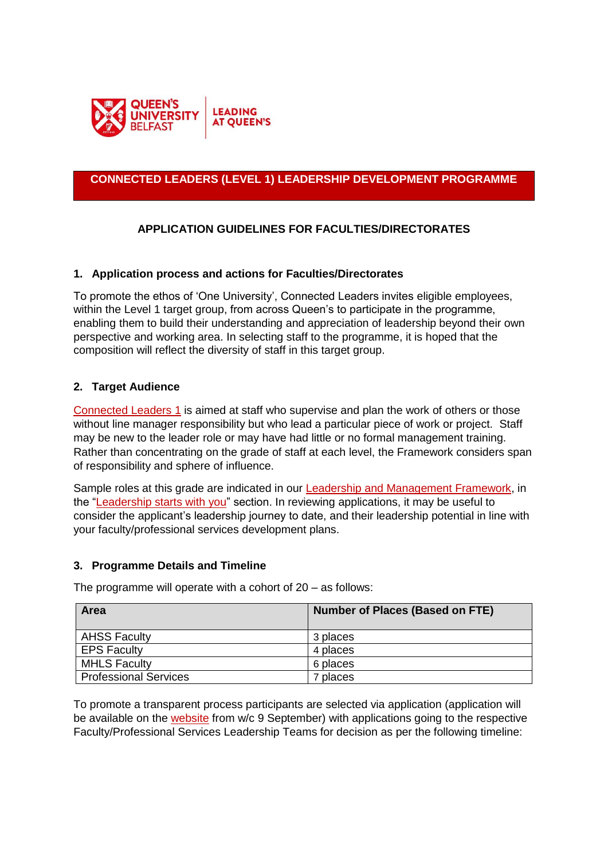

# **CONNECTED LEADERS (LEVEL 1) LEADERSHIP DEVELOPMENT PROGRAMME**

# **APPLICATION GUIDELINES FOR FACULTIES/DIRECTORATES**

## **1. Application process and actions for Faculties/Directorates**

To promote the ethos of 'One University', Connected Leaders invites eligible employees, within the Level 1 target group, from across Queen's to participate in the programme, enabling them to build their understanding and appreciation of leadership beyond their own perspective and working area. In selecting staff to the programme, it is hoped that the composition will reflect the diversity of staff in this target group.

## **2. Target Audience**

[Connected Leaders 1](https://www.qub.ac.uk/directorates/HumanResources/hr-filestore/Filetoupload,878819,en.pdf) is aimed at staff who supervise and plan the work of others or those without line manager responsibility but who lead a particular piece of work or project. Staff may be new to the leader role or may have had little or no formal management training. Rather than concentrating on the grade of staff at each level, the Framework considers span of responsibility and sphere of influence.

Sample roles at this grade are indicated in our [Leadership and Management Framework,](https://www.qub.ac.uk/directorates/HumanResources/learning-and-development/leadership-and-management-development/leadership-and-management-framework/) in the ["Leadership starts with you"](https://www.qub.ac.uk/directorates/HumanResources/hr-filestore/Filetoupload,919569,en.jpg) section. In reviewing applications, it may be useful to consider the applicant's leadership journey to date, and their leadership potential in line with your faculty/professional services development plans.

### **3. Programme Details and Timeline**

| Area                         | <b>Number of Places (Based on FTE)</b> |
|------------------------------|----------------------------------------|
| <b>AHSS Faculty</b>          | 3 places                               |
| <b>EPS Faculty</b>           | 4 places                               |
| <b>MHLS Faculty</b>          | 6 places                               |
| <b>Professional Services</b> | 7 places                               |

The programme will operate with a cohort of 20 – as follows:

To promote a transparent process participants are selected via application (application will be available on the [website](http://www.qub.ac.uk/directorates/HumanResources/learning-and-development/leadership-and-management-development/connected-leaders) from w/c 9 September) with applications going to the respective Faculty/Professional Services Leadership Teams for decision as per the following timeline: